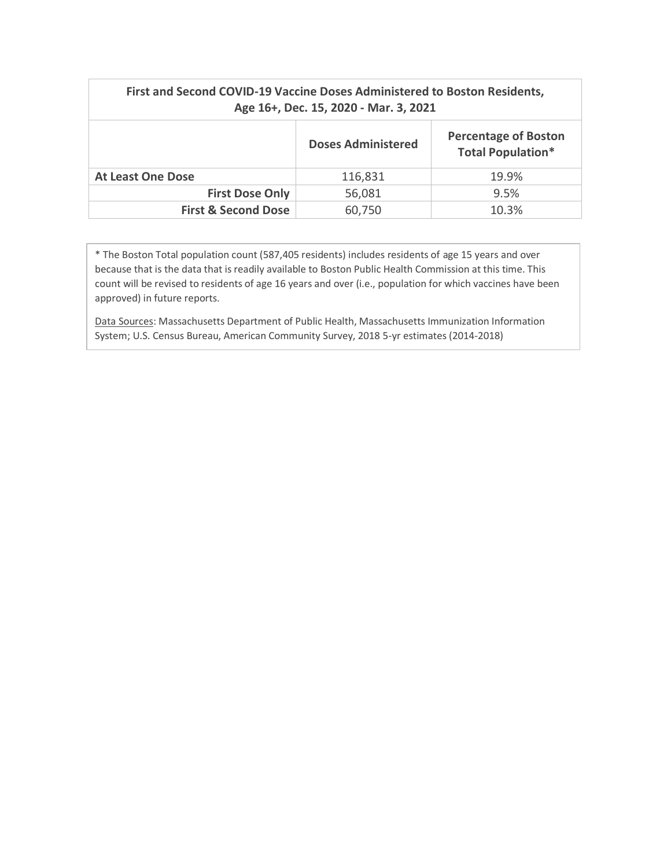| First and Second COVID-19 Vaccine Doses Administered to Boston Residents,<br>Age 16+, Dec. 15, 2020 - Mar. 3, 2021 |                           |                                                         |
|--------------------------------------------------------------------------------------------------------------------|---------------------------|---------------------------------------------------------|
|                                                                                                                    | <b>Doses Administered</b> | <b>Percentage of Boston</b><br><b>Total Population*</b> |
| <b>At Least One Dose</b>                                                                                           | 116,831                   | 19.9%                                                   |
| <b>First Dose Only</b>                                                                                             | 56,081                    | 9.5%                                                    |
| <b>First &amp; Second Dose</b>                                                                                     | 60,750                    | 10.3%                                                   |

\* The Boston Total population count (587,405 residents) includes residents of age 15 years and over because that is the data that is readily available to Boston Public Health Commission at this time. This count will be revised to residents of age 16 years and over (i.e., population for which vaccines have been approved) in future reports.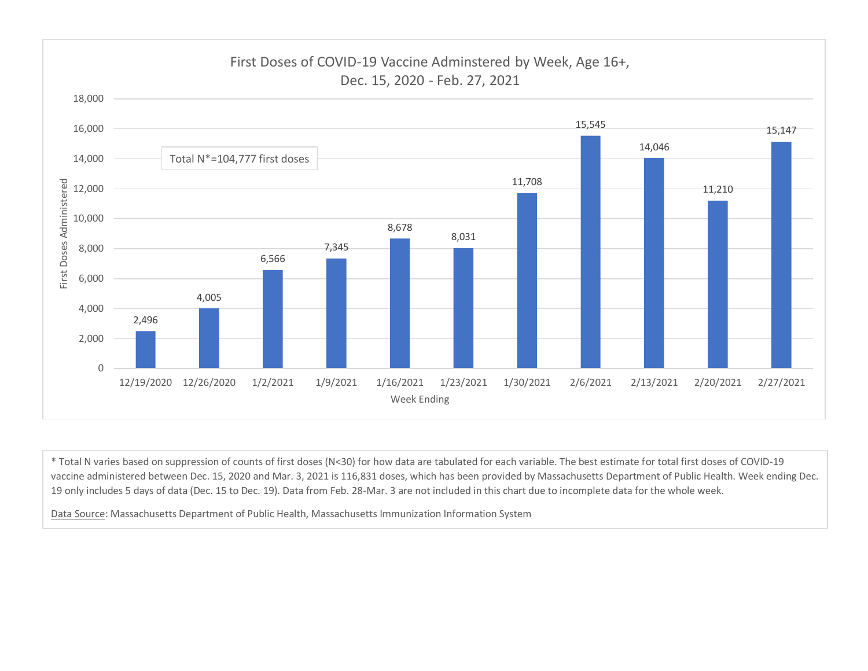

\* Total N varies based on suppression of counts of first doses (N<30) for how data are tabulated for each variable. The best estimate for total first doses of COVID-19 vaccine administered between Dec. 15, 2020 and Mar. 3, 2021 is 116,831 doses, which has been provided by Massachusetts Department of Public Health. Week ending Dec. 19 only includes 5 days of data (Dec. 15 to Dec. 19). Data from Feb. 28-Mar. 3 are not included in this chart due to incomplete data for the whole week.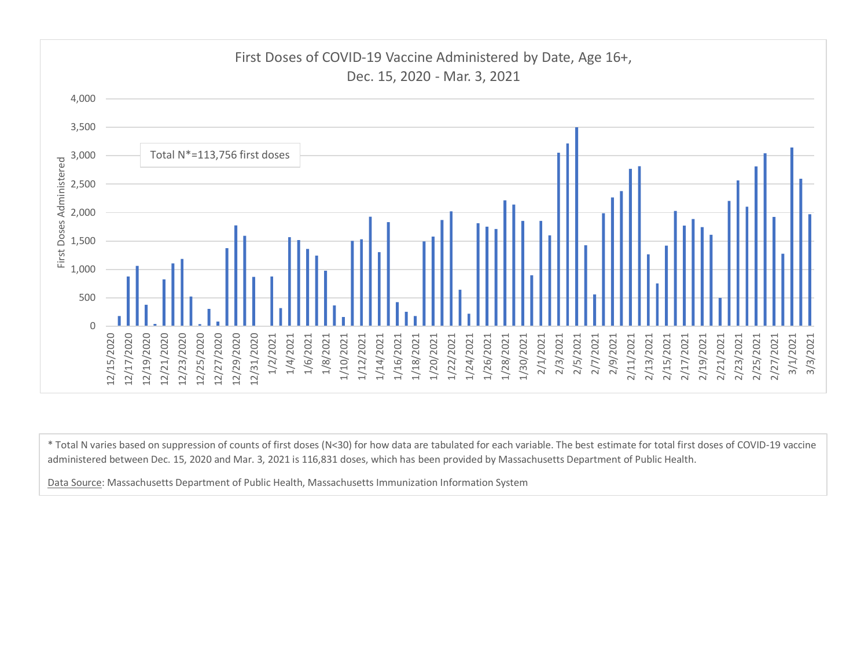

\* Total N varies based on suppression of counts of first doses (N<30) for how data are tabulated for each variable. The best estimate for total first doses of COVID-19 vaccine administered between Dec. 15, 2020 and Mar. 3, 2021 is 116,831 doses, which has been provided by Massachusetts Department of Public Health.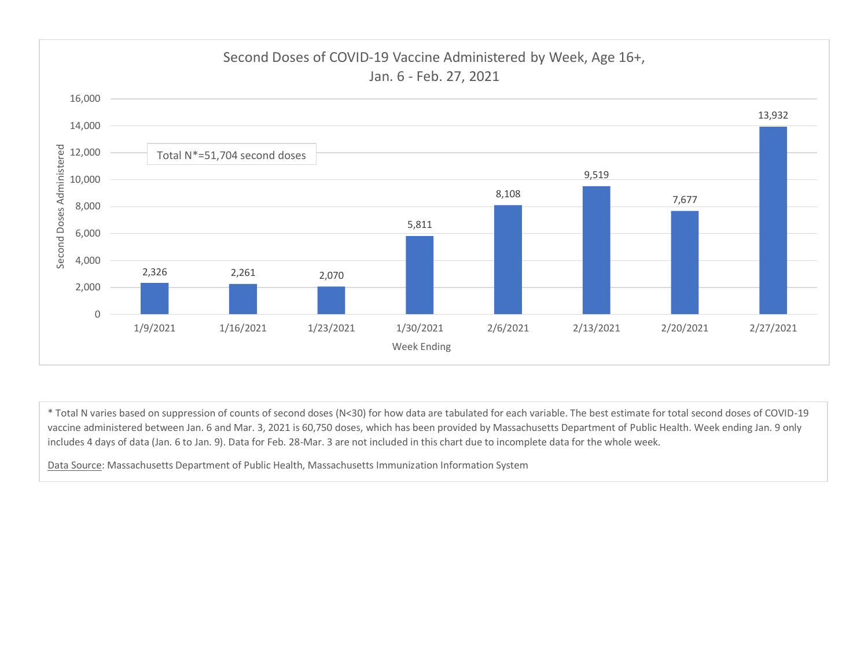

\* Total N varies based on suppression of counts of second doses (N<30) for how data are tabulated for each variable. The best estimate for total second doses of COVID-19 vaccine administered between Jan. 6 and Mar. 3, 2021 is 60,750 doses, which has been provided by Massachusetts Department of Public Health. Week ending Jan. 9 only includes 4 days of data (Jan. 6 to Jan. 9). Data for Feb. 28-Mar. 3 are not included in this chart due to incomplete data for the whole week.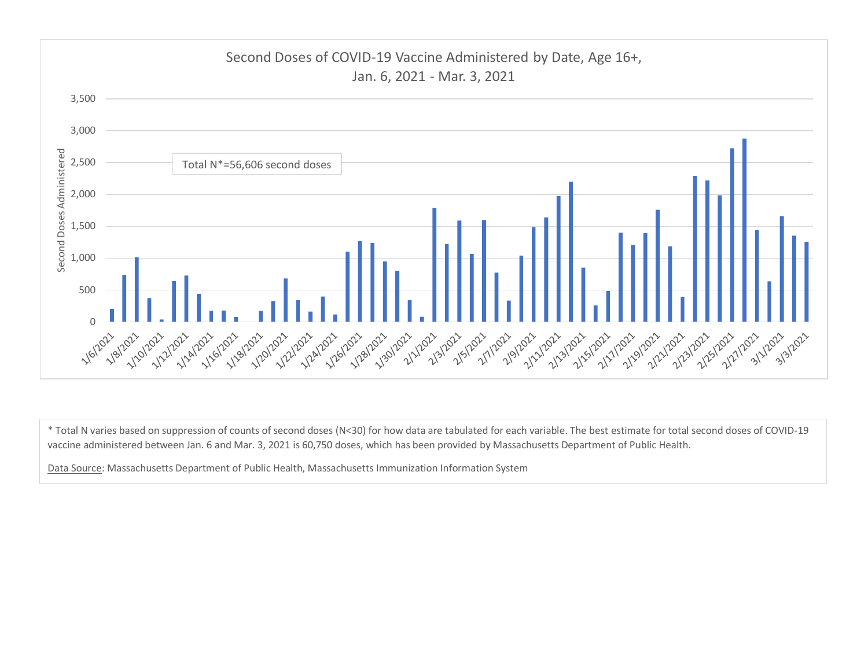

\* Total N varies based on suppression of counts of second doses (N<30) for how data are tabulated for each variable. The best estimate for total second doses of COVID-19 vaccine administered between Jan. 6 and Mar. 3, 2021 is 60,750 doses, which has been provided by Massachusetts Department of Public Health.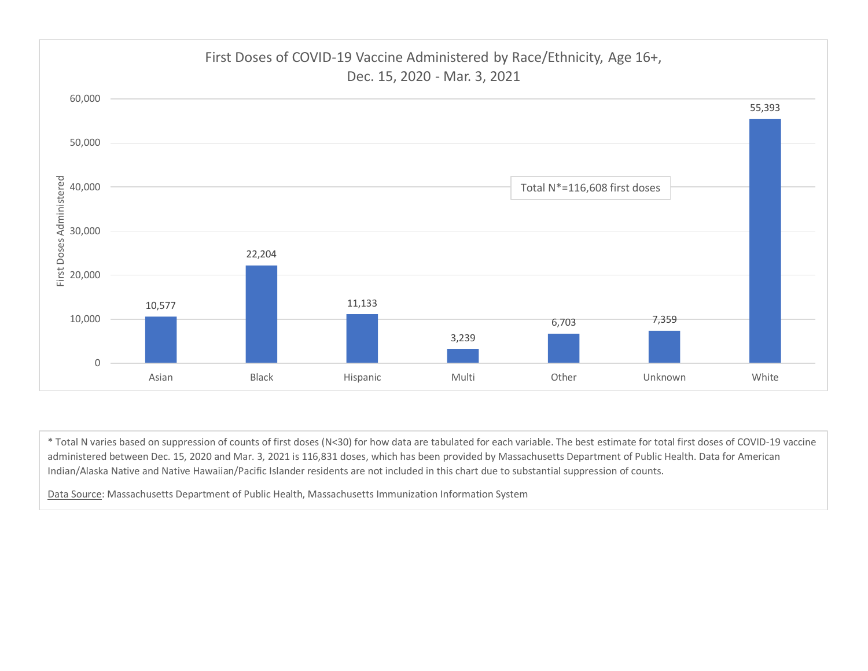

\* Total N varies based on suppression of counts of first doses (N<30) for how data are tabulated for each variable. The best estimate for total first doses of COVID-19 vaccine administered between Dec. 15, 2020 and Mar. 3, 2021 is 116,831 doses, which has been provided by Massachusetts Department of Public Health. Data for American Indian/Alaska Native and Native Hawaiian/Pacific Islander residents are not included in this chart due to substantial suppression of counts.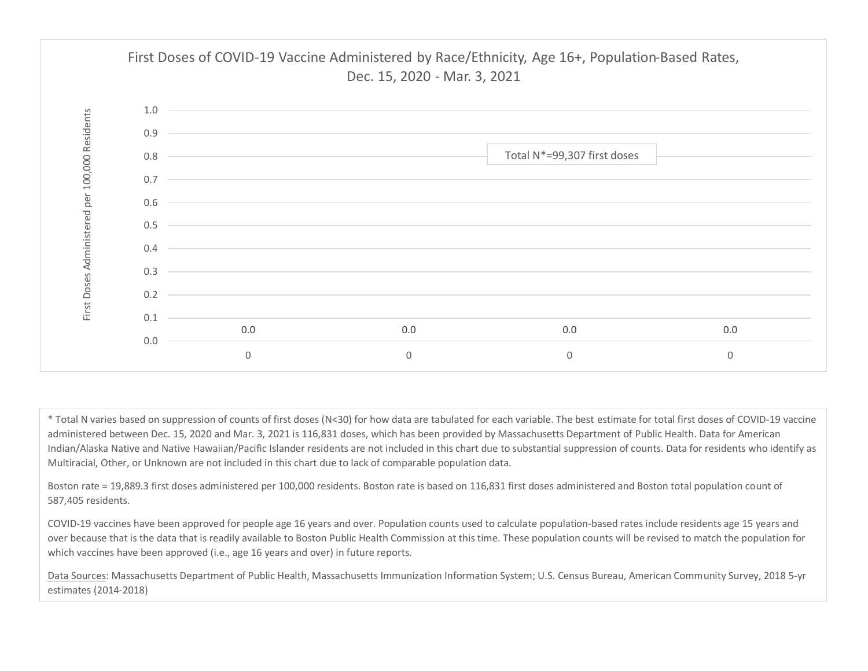

\* Total N varies based on suppression of counts of first doses (N<30) for how data are tabulated for each variable. The best estimate for total first doses of COVID-19 vaccine administered between Dec. 15, 2020 and Mar. 3, 2021 is 116,831 doses, which has been provided by Massachusetts Department of Public Health. Data for American Indian/Alaska Native and Native Hawaiian/Pacific Islander residents are not included in this chart due to substantial suppression of counts. Data for residents who identify as Multiracial, Other, or Unknown are not included in this chart due to lack of comparable population data.

Boston rate = 19,889.3 first doses administered per 100,000 residents. Boston rate is based on 116,831 first doses administered and Boston total population count of 587,405 residents.

COVID-19 vaccines have been approved for people age 16 years and over. Population counts used to calculate population-based rates include residents age 15 years and over because that is the data that is readily available to Boston Public Health Commission at this time. These population counts will be revised to match the population for which vaccines have been approved (i.e., age 16 years and over) in future reports.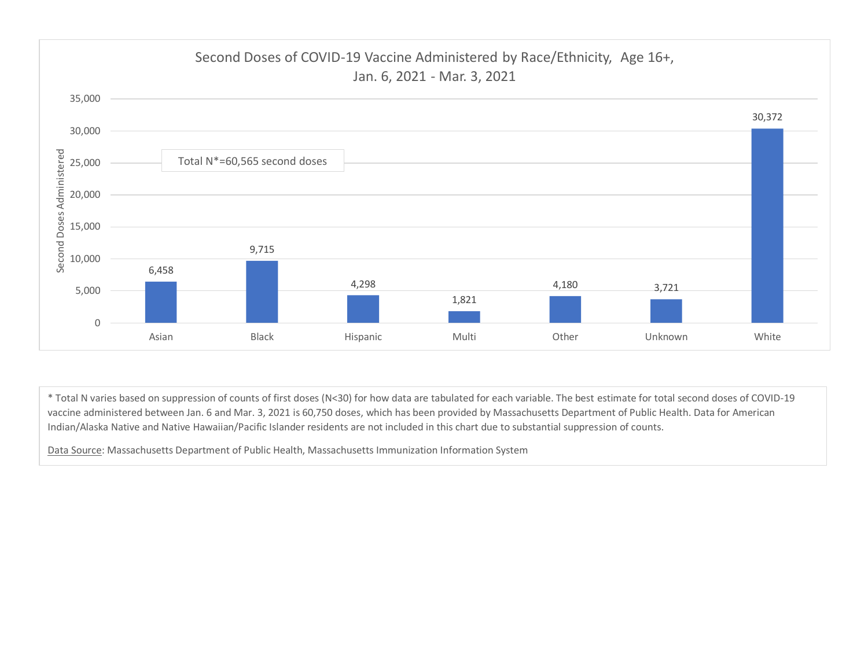

\* Total N varies based on suppression of counts of first doses (N<30) for how data are tabulated for each variable. The best estimate for total second doses of COVID-19 vaccine administered between Jan. 6 and Mar. 3, 2021 is 60,750 doses, which has been provided by Massachusetts Department of Public Health. Data for American Indian/Alaska Native and Native Hawaiian/Pacific Islander residents are not included in this chart due to substantial suppression of counts.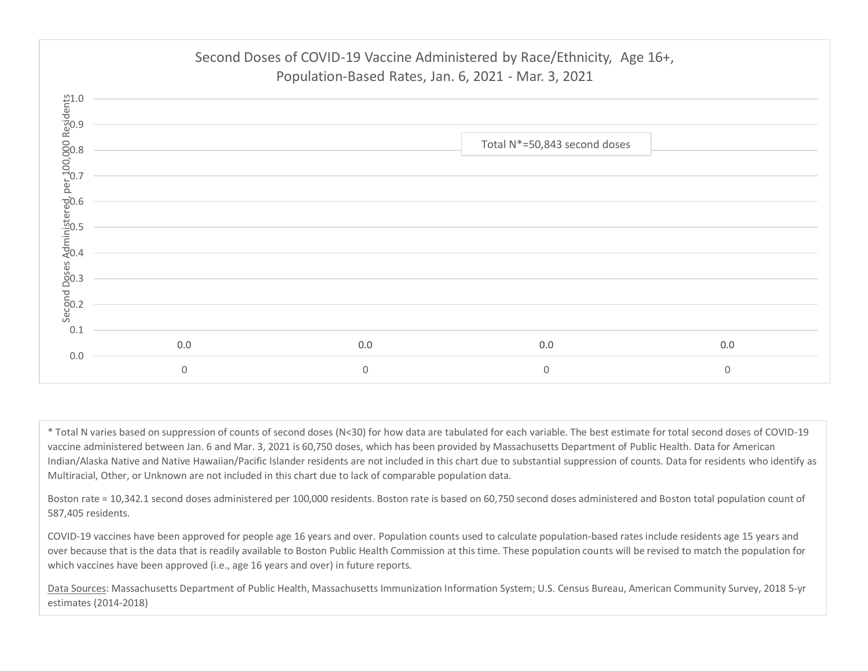

\* Total N varies based on suppression of counts of second doses (N<30) for how data are tabulated for each variable. The best estimate for total second doses of COVID-19 vaccine administered between Jan. 6 and Mar. 3, 2021 is 60,750 doses, which has been provided by Massachusetts Department of Public Health. Data for American Indian/Alaska Native and Native Hawaiian/Pacific Islander residents are not included in this chart due to substantial suppression of counts. Data for residents who identify as Multiracial, Other, or Unknown are not included in this chart due to lack of comparable population data.

Boston rate = 10,342.1 second doses administered per 100,000 residents. Boston rate is based on 60,750 second doses administered and Boston total population count of 587,405 residents.

COVID-19 vaccines have been approved for people age 16 years and over. Population counts used to calculate population-based rates include residents age 15 years and over because that is the data that is readily available to Boston Public Health Commission at this time. These population counts will be revised to match the population for which vaccines have been approved (i.e., age 16 years and over) in future reports.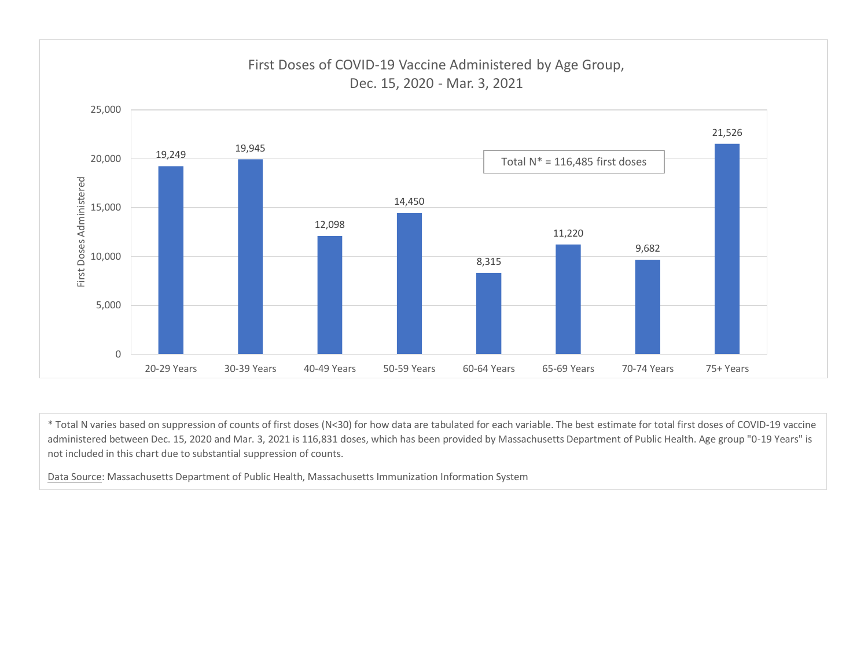

\* Total N varies based on suppression of counts of first doses (N<30) for how data are tabulated for each variable. The best estimate for total first doses of COVID-19 vaccine administered between Dec. 15, 2020 and Mar. 3, 2021 is 116,831 doses, which has been provided by Massachusetts Department of Public Health. Age group "0-19 Years" is not included in this chart due to substantial suppression of counts.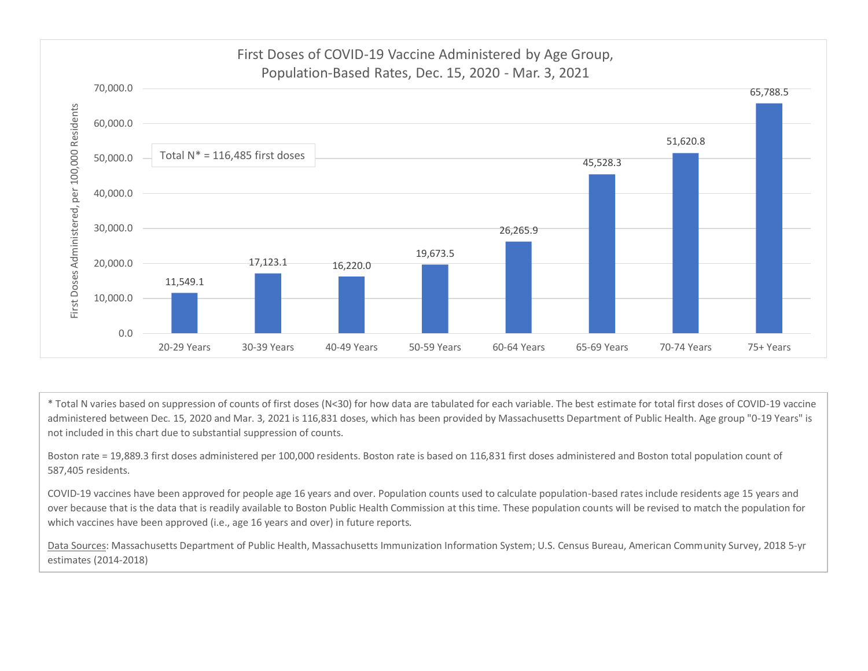

\* Total N varies based on suppression of counts of first doses (N<30) for how data are tabulated for each variable. The best estimate for total first doses of COVID-19 vaccine administered between Dec. 15, 2020 and Mar. 3, 2021 is 116,831 doses, which has been provided by Massachusetts Department of Public Health. Age group "0-19 Years" is not included in this chart due to substantial suppression of counts.

Boston rate = 19,889.3 first doses administered per 100,000 residents. Boston rate is based on 116,831 first doses administered and Boston total population count of 587,405 residents.

COVID-19 vaccines have been approved for people age 16 years and over. Population counts used to calculate population-based rates include residents age 15 years and over because that is the data that is readily available to Boston Public Health Commission at this time. These population counts will be revised to match the population for which vaccines have been approved (i.e., age 16 years and over) in future reports.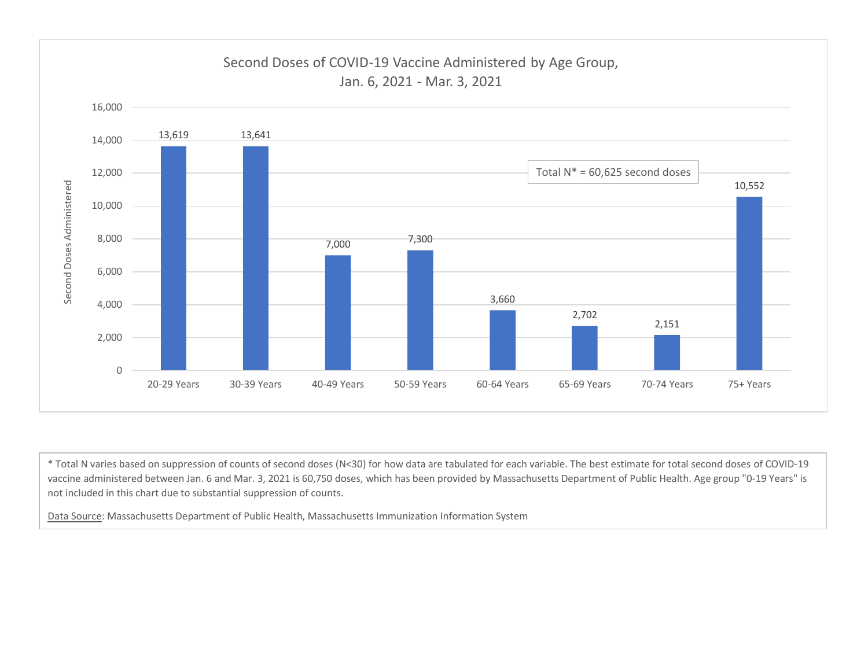

\* Total N varies based on suppression of counts of second doses (N<30) for how data are tabulated for each variable. The best estimate for total second doses of COVID-19 vaccine administered between Jan. 6 and Mar. 3, 2021 is 60,750 doses, which has been provided by Massachusetts Department of Public Health. Age group "0-19 Years" is not included in this chart due to substantial suppression of counts.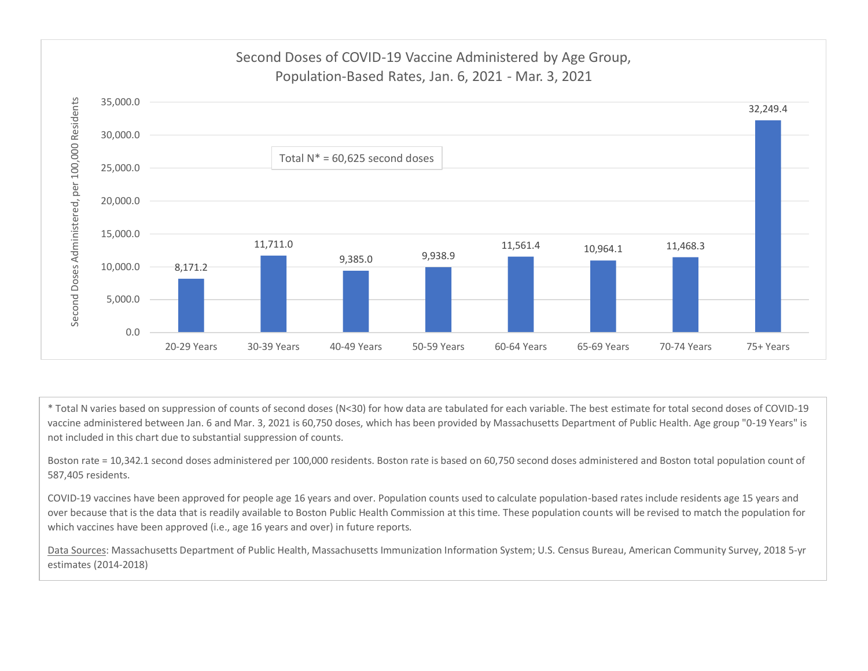

\* Total N varies based on suppression of counts of second doses (N<30) for how data are tabulated for each variable. The best estimate for total second doses of COVID-19 vaccine administered between Jan. 6 and Mar. 3, 2021 is 60,750 doses, which has been provided by Massachusetts Department of Public Health. Age group "0-19 Years" is not included in this chart due to substantial suppression of counts.

Boston rate = 10,342.1 second doses administered per 100,000 residents. Boston rate is based on 60,750 second doses administered and Boston total population count of 587,405 residents.

COVID-19 vaccines have been approved for people age 16 years and over. Population counts used to calculate population-based rates include residents age 15 years and over because that is the data that is readily available to Boston Public Health Commission at this time. These population counts will be revised to match the population for which vaccines have been approved (i.e., age 16 years and over) in future reports.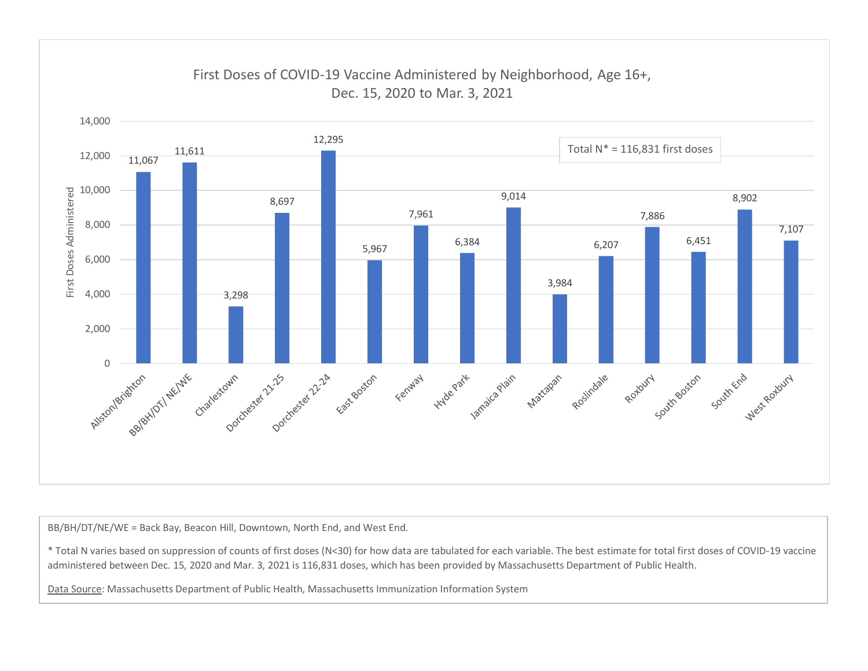

\* Total N varies based on suppression of counts of first doses (N<30) for how data are tabulated for each variable. The best estimate for total first doses of COVID-19 vaccine administered between Dec. 15, 2020 and Mar. 3, 2021 is 116,831 doses, which has been provided by Massachusetts Department of Public Health.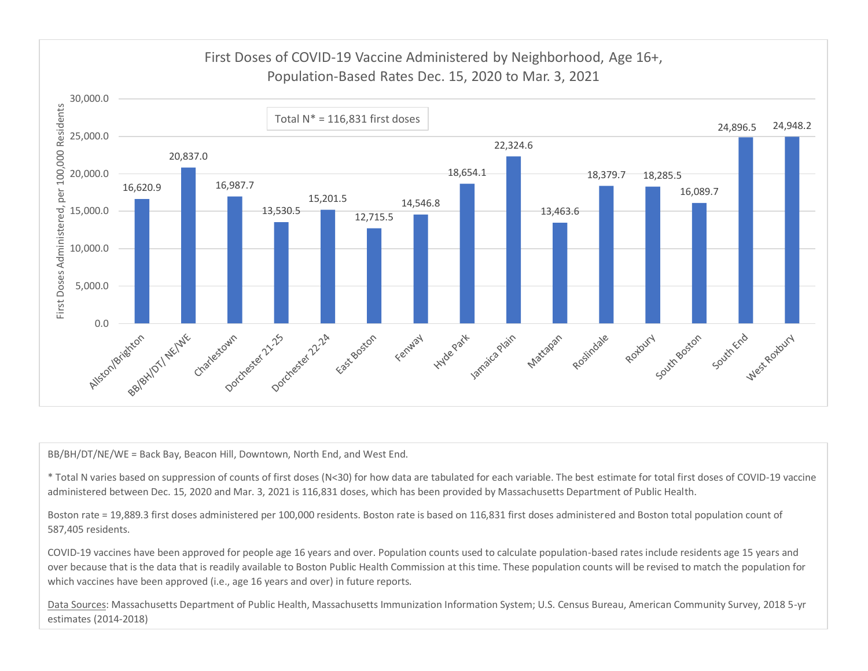

\* Total N varies based on suppression of counts of first doses (N<30) for how data are tabulated for each variable. The best estimate for total first doses of COVID-19 vaccine administered between Dec. 15, 2020 and Mar. 3, 2021 is 116,831 doses, which has been provided by Massachusetts Department of Public Health.

Boston rate = 19,889.3 first doses administered per 100,000 residents. Boston rate is based on 116,831 first doses administered and Boston total population count of 587,405 residents.

COVID-19 vaccines have been approved for people age 16 years and over. Population counts used to calculate population-based rates include residents age 15 years and over because that is the data that is readily available to Boston Public Health Commission at this time. These population counts will be revised to match the population for which vaccines have been approved (i.e., age 16 years and over) in future reports.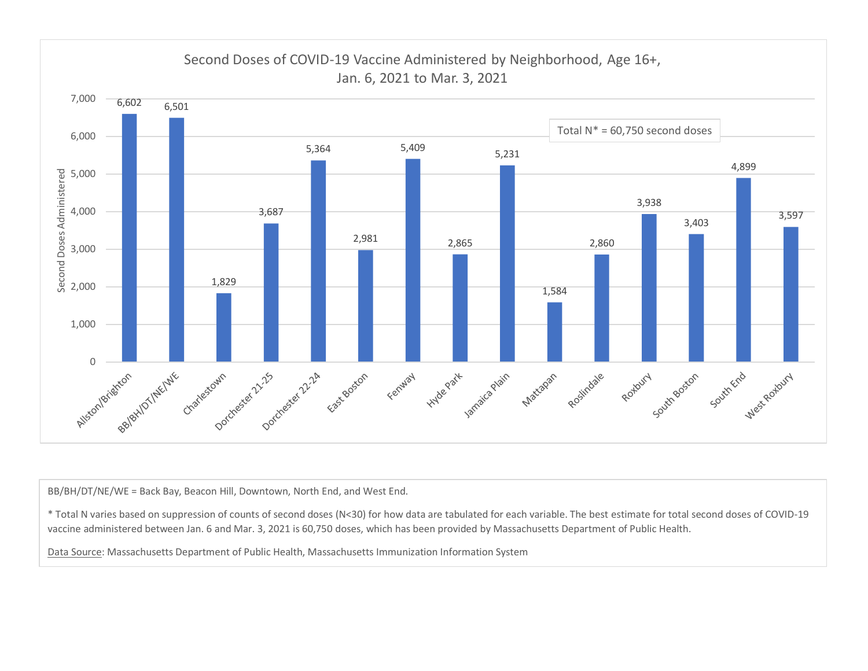

\* Total N varies based on suppression of counts of second doses (N<30) for how data are tabulated for each variable. The best estimate for total second doses of COVID-19 vaccine administered between Jan. 6 and Mar. 3, 2021 is 60,750 doses, which has been provided by Massachusetts Department of Public Health.